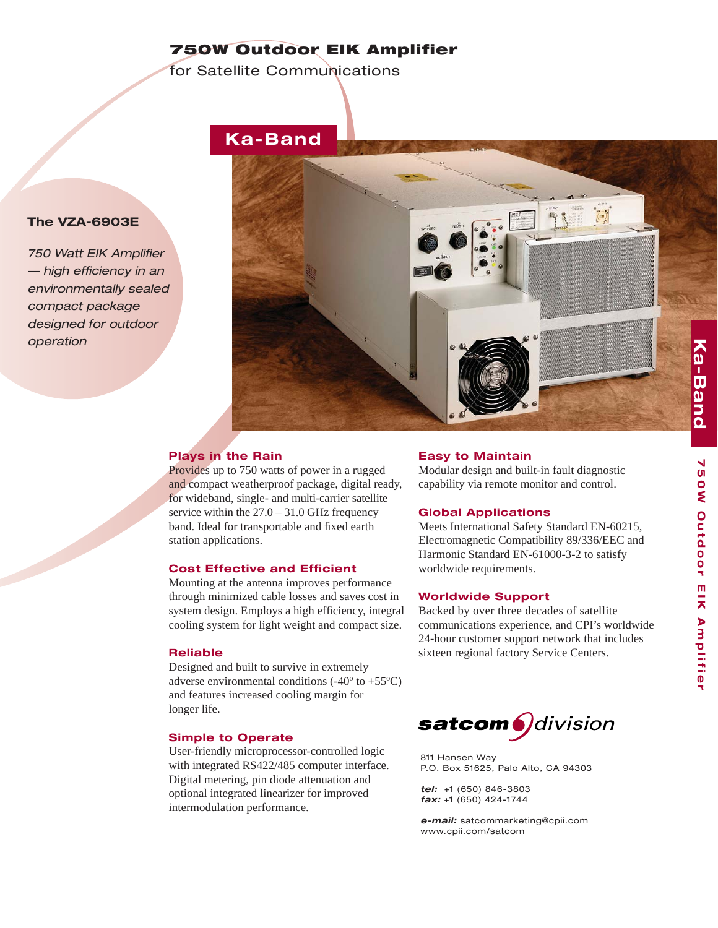## **750W Outdoor EIK Amplifier**

for Satellite Communications





## **Plays in the Rain**

Provides up to 750 watts of power in a rugged and compact weatherproof package, digital ready, for wideband, single- and multi-carrier satellite service within the  $27.0 - 31.0$  GHz frequency band. Ideal for transportable and fixed earth station applications.

#### **Cost Effective and Efficient**

Mounting at the antenna improves performance through minimized cable losses and saves cost in system design. Employs a high efficiency, integral cooling system for light weight and compact size.

#### **Reliable**

Designed and built to survive in extremely adverse environmental conditions  $(-40^{\circ}$  to  $+55^{\circ}C)$ and features increased cooling margin for longer life.

### **Simple to Operate**

User-friendly microprocessor-controlled logic with integrated RS422/485 computer interface. Digital metering, pin diode attenuation and optional integrated linearizer for improved intermodulation performance.

#### **Easy to Maintain**

Modular design and built-in fault diagnostic capability via remote monitor and control.

#### **Global Applications**

Meets International Safety Standard EN-60215, Electromagnetic Compatibility 89/336/EEC and Harmonic Standard EN-61000-3-2 to satisfy worldwide requirements.

#### **Worldwide Support**

Backed by over three decades of satellite communications experience, and CPI's worldwide 24-hour customer support network that includes sixteen regional factory Service Centers.



811 Hansen Way P.O. Box 51625, Palo Alto, CA 94303

*tel:*+1 (650) 846-3803 *fax:* +1 (650) 424-1744

*e-mail:* satcommarketing@cpii.com www.cpii.com/satcom

## **The VZA-6903E**

**750 Watt EIK Amplifier**  $-$  high efficiency in an *environmentally sealed compact package designed for outdoor operation*